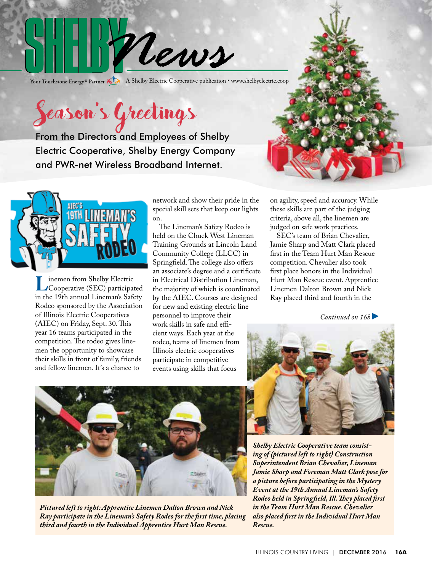

Your Touchstone Energy® Partner A Shelby Electric Cooperative publication • www.shelbyelectric.coop

Season's Greetings

From the Directors and Employees of Shelby Electric Cooperative, Shelby Energy Company and PWR-net Wireless Broadband Internet.



Inemen from Shelby Electric<br>Cooperative (SEC) participated<br>in the 19th annual Lineman's Safety in the 19th annual Lineman's Safety Rodeo sponsored by the Association of Illinois Electric Cooperatives (AIEC) on Friday, Sept. 30. This year 16 teams participated in the competition. The rodeo gives linemen the opportunity to showcase their skills in front of family, friends and fellow linemen. It's a chance to

network and show their pride in the special skill sets that keep our lights on.

 The Lineman's Safety Rodeo is held on the Chuck West Lineman Training Grounds at Lincoln Land Community College (LLCC) in Springfield. The college also offers an associate's degree and a certificate in Electrical Distribution Lineman, the majority of which is coordinated by the AIEC. Courses are designed for new and existing electric line personnel to improve their work skills in safe and efficient ways. Each year at the rodeo, teams of linemen from Illinois electric cooperatives participate in competitive events using skills that focus

on agility, speed and accuracy. While these skills are part of the judging criteria, above all, the linemen are judged on safe work practices.

 SEC's team of Brian Chevalier, Jamie Sharp and Matt Clark placed first in the Team Hurt Man Rescue competition. Chevalier also took first place honors in the Individual Hurt Man Rescue event. Apprentice Linemen Dalton Brown and Nick Ray placed third and fourth in the

*Continued on 16b* 



*Pictured left to right: Apprentice Linemen Dalton Brown and Nick Ray participate in the Lineman's Safety Rodeo for the first time, placing third and fourth in the Individual Apprentice Hurt Man Rescue.*



*Shelby Electric Cooperative team consisting of (pictured left to right) Construction Superintendent Brian Chevalier, Lineman Jamie Sharp and Foreman Matt Clark pose for a picture before participating in the Mystery Event at the 19th Annual Lineman's Safety Rodeo held in Springfield, Ill. They placed first in the Team Hurt Man Rescue. Chevalier also placed first in the Individual Hurt Man Rescue.*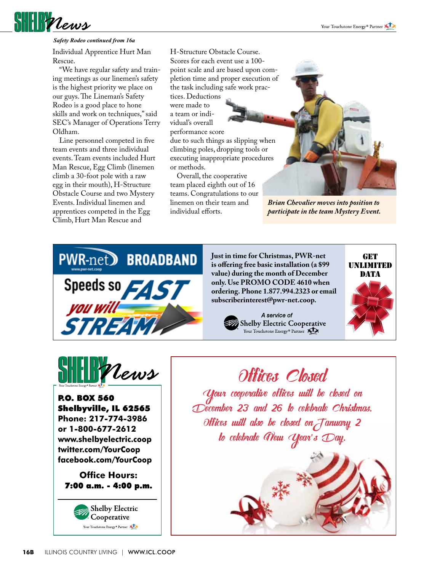#### **SHELL Plews** *Safety Rodeo continued from 16a*

Individual Apprentice Hurt Man Rescue.

 "We have regular safety and training meetings as our linemen's safety is the highest priority we place on our guys. The Lineman's Safety Rodeo is a good place to hone skills and work on techniques," said SEC's Manager of Operations Terry Oldham.

 Line personnel competed in five team events and three individual events. Team events included Hurt Man Rescue, Egg Climb (linemen climb a 30-foot pole with a raw egg in their mouth), H-Structure Obstacle Course and two Mystery Events. Individual linemen and apprentices competed in the Egg Climb, Hurt Man Rescue and

H-Structure Obstacle Course. Scores for each event use a 100 point scale and are based upon completion time and proper execution of the task including safe work practices. Deductions were made to a team or individual's overall performance score due to such things as slipping when climbing poles, dropping tools or executing inappropriate procedures or methods.

 Overall, the cooperative team placed eighth out of 16 teams. Congratulations to our linemen on their team and individual efforts.



*Brian Chevalier moves into position to participate in the team Mystery Event.*



**Just in time for Christmas, PWR-net is offering free basic installation (a \$99 value) during the month of December only. Use PROMO CODE 4610 when ordering. Phone 1.877.994.2323 or email subscriberinterest@pwr-net.coop.**

> A service of Shelby Electric Cooperative Your Touchstone Energy<sup>®</sup> Partner





P.O. BOX 560 Shelbyville, IL 62565 **Phone: 217-774-3986 or 1-800-677-2612 www.shelbyelectric.coop twitter.com/YourCoop facebook.com/YourCoop**

**Office Hours:** 7:00 a.m. - 4:00 p.m.



Offices Closed Your cooperative offices will be closed on December 23 and 26 to celebrate Christmas. Offices will also be closed onJanuary 2 to celebrate New Year's Day.

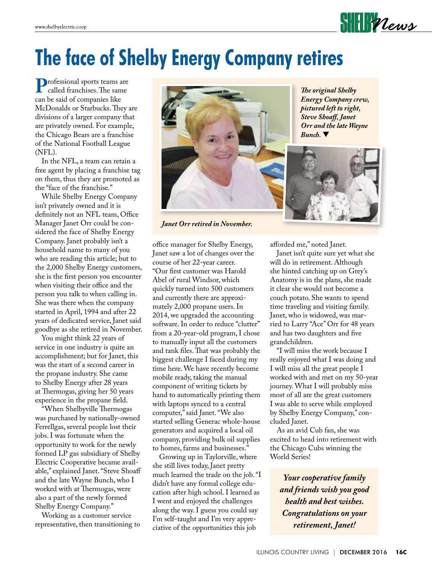#### $\text{HIPV}$

# **The face of Shelby Energy Company retires**

**P**rofessional sports teams are called franchises. The same can be said of companies like McDonalds or Starbucks. They are divisions of a larger company that are privately owned. For example, the Chicago Bears are a franchise of the National Football League (NFL).

 In the NFL, a team can retain a free agent by placing a franchise tag on them, thus they are promoted as the "face of the franchise."

 While Shelby Energy Company isn't privately owned and it is definitely not an NFL team, Office Manager Janet Orr could be considered the face of Shelby Energy Company. Janet probably isn't a household name to many of you who are reading this article; but to the 2,000 Shelby Energy customers, she is the first person you encounter when visiting their office and the person you talk to when calling in. She was there when the company started in April, 1994 and after 22 years of dedicated service, Janet said goodbye as she retired in November.

 You might think 22 years of service in one industry is quite an accomplishment; but for Janet, this was the start of a second career in the propane industry. She came to Shelby Energy after 28 years at Thermogas, giving her 50 years experience in the propane field.

 "When Shelbyville Thermogas was purchased by nationally-owned Ferrellgas, several people lost their jobs. I was fortunate when the opportunity to work for the newly formed LP gas subsidiary of Shelby Electric Cooperative became available," explained Janet. "Steve Shoaff and the late Wayne Bunch, who I worked with at Thermogas, were also a part of the newly formed Shelby Energy Company."

 Working as a customer service representative, then transitioning to



*Janet Orr retired in November.*

office manager for Shelby Energy, Janet saw a lot of changes over the course of her 22-year career. "Our first customer was Harold Abel of rural Windsor, which quickly turned into 500 customers and currently there are approximately 2,000 propane users. In 2014, we upgraded the accounting software. In order to reduce "clutter" from a 20-year-old program, I chose to manually input all the customers and tank files. That was probably the biggest challenge I faced during my time here. We have recently become mobile ready, taking the manual component of writing tickets by hand to automatically printing them with laptops synced to a central computer," said Janet. "We also started selling Generac whole-house generators and acquired a local oil company, providing bulk oil supplies to homes, farms and businesses."

 Growing up in Taylorville, where she still lives today, Janet pretty much learned the trade on the job. "I didn't have any formal college education after high school. I learned as I went and enjoyed the challenges along the way. I guess you could say I'm self-taught and I'm very appreciative of the opportunities this job

*The original Shelby Energy Company crew, pictured left to right, Steve Shoaff, Janet Orr and the late Wayne Bunch.* 



afforded me," noted Janet.

 Janet isn't quite sure yet what she will do in retirement. Although she hinted catching up on Grey's Anatomy is in the plans, she made it clear she would not become a couch potato. She wants to spend time traveling and visiting family. Janet, who is widowed, was married to Larry "Ace" Orr for 48 years and has two daughters and five grandchildren.

 "I will miss the work because I really enjoyed what I was doing and I will miss all the great people I worked with and met on my 50-year journey. What I will probably miss most of all are the great customers I was able to serve while employed by Shelby Energy Company," concluded Janet.

 As an avid Cub fan, she was excited to head into retirement with the Chicago Cubs winning the World Series!

*Your cooperative family and friends wish you good health and best wishes. Congratulations on your retirement, Janet!*